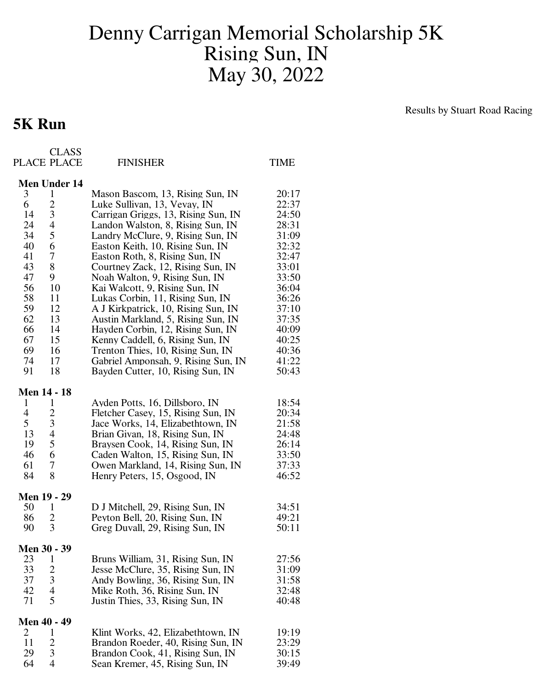## Denny Carrigan Memorial Scholarship 5K Rising Sun, IN May 30, 2022

## **5K Run**

Results by Stuart Road Racing

|                    | <b>CLASS</b><br>PLACE PLACE | <b>FINISHER</b>                     | TIME  |
|--------------------|-----------------------------|-------------------------------------|-------|
|                    | <b>Men Under 14</b>         |                                     |       |
| 3                  | 1                           | Mason Bascom, 13, Rising Sun, IN    | 20:17 |
| 6                  | $\overline{c}$              | Luke Sullivan, 13, Vevay, IN        | 22:37 |
| 14                 | 3                           | Carrigan Griggs, 13, Rising Sun, IN | 24:50 |
| 24                 | 4                           | Landon Walston, 8, Rising Sun, IN   | 28:31 |
| 34                 | 5                           | Landry McClure, 9, Rising Sun, IN   | 31:09 |
| 40                 | 6                           | Easton Keith, 10, Rising Sun, IN    | 32:32 |
| 41                 | 7                           | Easton Roth, 8, Rising Sun, IN      | 32:47 |
| 43                 | 8                           | Courtney Zack, 12, Rising Sun, IN   | 33:01 |
| 47                 | 9                           | Noah Walton, 9, Rising Sun, IN      | 33:50 |
| 56                 | 10                          | Kai Walcott, 9, Rising Sun, IN      | 36:04 |
| 58                 | 11                          | Lukas Corbin, 11, Rising Sun, IN    | 36:26 |
| 59                 | 12                          | A J Kirkpatrick, 10, Rising Sun, IN | 37:10 |
| 62                 | 13                          | Austin Markland, 5, Rising Sun, IN  | 37:35 |
| 66                 | 14                          | Hayden Corbin, 12, Rising Sun, IN   | 40:09 |
| 67                 | 15                          | Kenny Caddell, 6, Rising Sun, IN    | 40:25 |
| 69                 | 16                          | Trenton Thies, 10, Rising Sun, IN   | 40:36 |
| 74                 | 17                          | Gabriel Amponsah, 9, Rising Sun, IN | 41:22 |
| 91                 | 18                          | Bayden Cutter, 10, Rising Sun, IN   | 50:43 |
| <b>Men 14 - 18</b> |                             |                                     |       |
| 1                  | 1                           | Ayden Potts, 16, Dillsboro, IN      | 18:54 |
| 4                  | $\overline{c}$              | Fletcher Casey, 15, Rising Sun, IN  | 20:34 |
| 5                  | 3                           | Jace Works, 14, Elizabethtown, IN   | 21:58 |
| 13                 | 4                           | Brian Givan, 18, Rising Sun, IN     | 24:48 |
| 19                 | 5                           | Braysen Cook, 14, Rising Sun, IN    | 26:14 |
| 46                 | 6                           | Caden Walton, 15, Rising Sun, IN    | 33:50 |
| 61                 | 7                           | Owen Markland, 14, Rising Sun, IN   | 37:33 |
| 84                 | 8                           | Henry Peters, 15, Osgood, IN        | 46:52 |
| <b>Men 19 - 29</b> |                             |                                     |       |
| 50                 | 1                           | D J Mitchell, 29, Rising Sun, IN    | 34:51 |
| 86                 | 2                           | Peyton Bell, 20, Rising Sun, IN     | 49:21 |
| 90                 | 3                           | Greg Duvall, 29, Rising Sun, IN     | 50:11 |
| Men 30 - 39        |                             |                                     |       |
| 23                 | 1                           | Bruns William, 31, Rising Sun, IN   | 27:56 |
| 33                 | 2                           | Jesse McClure, 35, Rising Sun, IN   | 31:09 |
| 37                 | 3                           | Andy Bowling, 36, Rising Sun, IN    | 31:58 |
| 42                 | 4                           | Mike Roth, 36, Rising Sun, IN       | 32:48 |
| 71                 | 5                           | Justin Thies, 33, Rising Sun, IN    | 40:48 |
| <b>Men 40 - 49</b> |                             |                                     |       |
| 2                  | 1                           | Klint Works, 42, Elizabethtown, IN  | 19:19 |
| 11                 | 2                           | Brandon Roeder, 40, Rising Sun, IN  | 23:29 |
| 29                 | 3                           | Brandon Cook, 41, Rising Sun, IN    | 30:15 |
| 64                 | 4                           | Sean Kremer, 45, Rising Sun, IN     | 39:49 |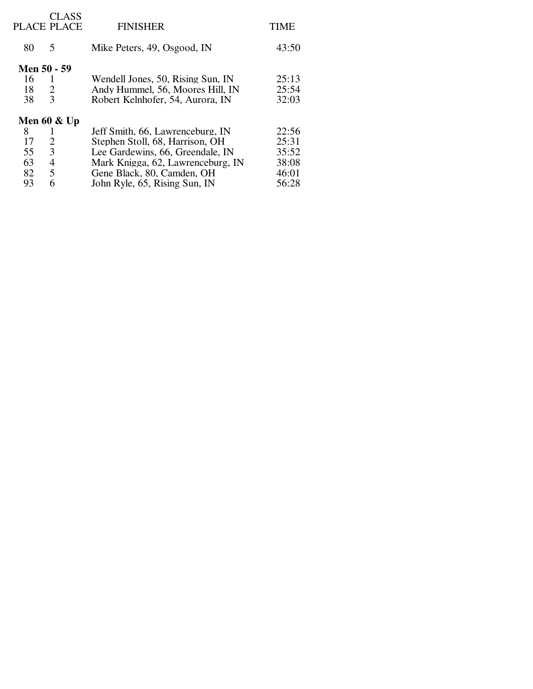|    | <b>CLASS</b><br>PLACE PLACE | <b>FINISHER</b>                   | TIME  |
|----|-----------------------------|-----------------------------------|-------|
| 80 | 5                           | Mike Peters, 49, Osgood, IN       | 43:50 |
|    | Men 50 - 59                 |                                   |       |
| 16 |                             | Wendell Jones, 50, Rising Sun, IN | 25:13 |
| 18 | 2                           | Andy Hummel, 56, Moores Hill, IN  | 25:54 |
| 38 | 3                           | Robert Kelnhofer, 54, Aurora, IN  | 32:03 |
|    | Men 60 $&$ Up               |                                   |       |
| 8  |                             | Jeff Smith, 66, Lawrenceburg, IN  | 22:56 |
| 17 | 2                           | Stephen Stoll, 68, Harrison, OH   | 25:31 |
| 55 | 3                           | Lee Gardewins, 66, Greendale, IN  | 35:52 |
| 63 | 4                           | Mark Knigga, 62, Lawrenceburg, IN | 38:08 |
| 82 | 5                           | Gene Black, 80, Camden, OH        | 46:01 |
| 93 | 6                           | John Ryle, 65, Rising Sun, IN     | 56:28 |
|    |                             |                                   |       |